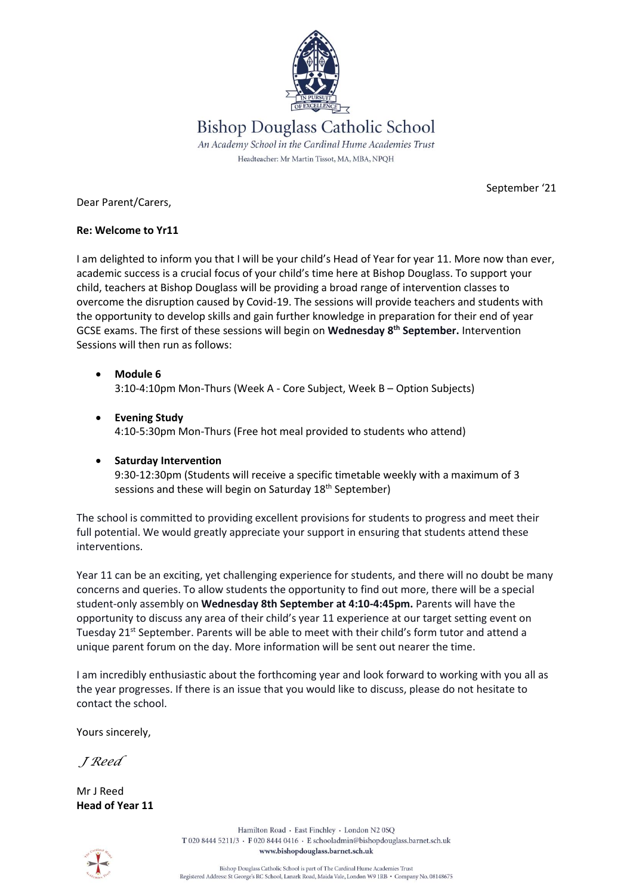

Dear Parent/Carers,

September '21

## **Re: Welcome to Yr11**

I am delighted to inform you that I will be your child's Head of Year for year 11. More now than ever, academic success is a crucial focus of your child's time here at Bishop Douglass. To support your child, teachers at Bishop Douglass will be providing a broad range of intervention classes to overcome the disruption caused by Covid-19. The sessions will provide teachers and students with the opportunity to develop skills and gain further knowledge in preparation for their end of year GCSE exams. The first of these sessions will begin on **Wednesday 8th September.** Intervention Sessions will then run as follows:

- **Module 6** 3:10-4:10pm Mon-Thurs (Week A - Core Subject, Week B – Option Subjects)
- **Evening Study** 4:10-5:30pm Mon-Thurs (Free hot meal provided to students who attend)

## **•** Saturday Intervention 9:30-12:30pm (Students will receive a specific timetable weekly with a maximum of 3 sessions and these will begin on Saturday 18<sup>th</sup> September)

The school is committed to providing excellent provisions for students to progress and meet their full potential. We would greatly appreciate your support in ensuring that students attend these interventions.

Year 11 can be an exciting, yet challenging experience for students, and there will no doubt be many concerns and queries. To allow students the opportunity to find out more, there will be a special student-only assembly on **Wednesday 8th September at 4:10-4:45pm.** Parents will have the opportunity to discuss any area of their child's year 11 experience at our target setting event on Tuesday 21<sup>st</sup> September. Parents will be able to meet with their child's form tutor and attend a unique parent forum on the day. More information will be sent out nearer the time.

I am incredibly enthusiastic about the forthcoming year and look forward to working with you all as the year progresses. If there is an issue that you would like to discuss, please do not hesitate to contact the school.

Yours sincerely,

*J Reed*

Mr J Reed **Head of Year 11**

Hamilton Road · East Finchley · London N2 0SO T 020 8444 5211/3 · F 020 8444 0416 · E schooladmin@bishopdouglass.barnet.sch.uk www.bishopdouglass.barnet.sch.uk